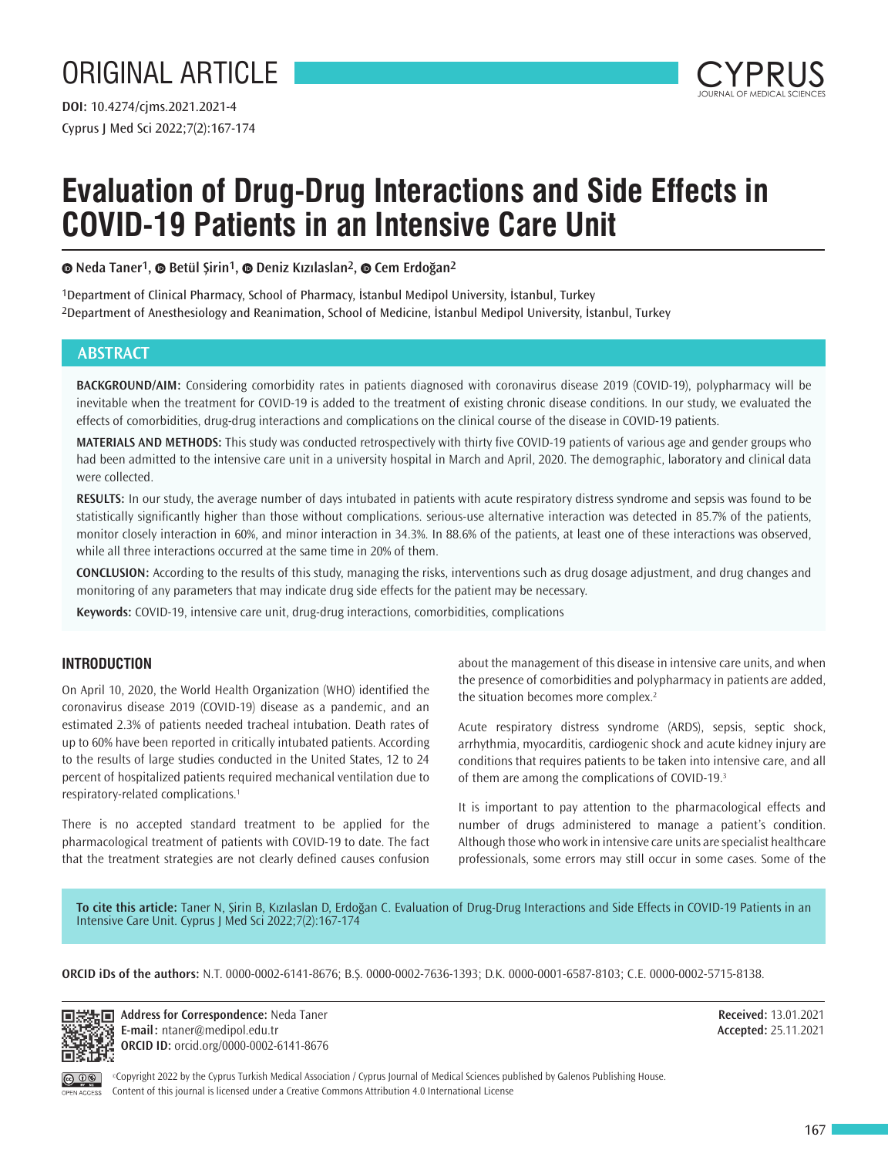# ORIGINAL ARTICLE

Cyprus J Med Sci 2022;7(2):167-174 **DOI:** 10.4274/cjms.2021.2021-4



# **Evaluation of Drug-Drug Interactions and Side Effects in COVID-19 Patients in an Intensive Care Unit**

**Neda Taner1,Betül Şirin1,Deniz Kızılaslan2,Cem Erdoğan2**

1Department of Clinical Pharmacy, School of Pharmacy, İstanbul Medipol University, İstanbul, Turkey 2Department of Anesthesiology and Reanimation, School of Medicine, İstanbul Medipol University, İstanbul, Turkey

## **ABSTRACT**

**BACKGROUND/AIM:** Considering comorbidity rates in patients diagnosed with coronavirus disease 2019 (COVID-19), polypharmacy will be inevitable when the treatment for COVID-19 is added to the treatment of existing chronic disease conditions. In our study, we evaluated the effects of comorbidities, drug-drug interactions and complications on the clinical course of the disease in COVID-19 patients.

**MATERIALS AND METHODS:** This study was conducted retrospectively with thirty five COVID-19 patients of various age and gender groups who had been admitted to the intensive care unit in a university hospital in March and April, 2020. The demographic, laboratory and clinical data were collected.

**RESULTS:** In our study, the average number of days intubated in patients with acute respiratory distress syndrome and sepsis was found to be statistically significantly higher than those without complications. serious-use alternative interaction was detected in 85.7% of the patients, monitor closely interaction in 60%, and minor interaction in 34.3%. In 88.6% of the patients, at least one of these interactions was observed, while all three interactions occurred at the same time in 20% of them.

**CONCLUSION:** According to the results of this study, managing the risks, interventions such as drug dosage adjustment, and drug changes and monitoring of any parameters that may indicate drug side effects for the patient may be necessary.

**Keywords:** COVID-19, intensive care unit, drug-drug interactions, comorbidities, complications

## **INTRODUCTION**

On April 10, 2020, the World Health Organization (WHO) identified the coronavirus disease 2019 (COVID-19) disease as a pandemic, and an estimated 2.3% of patients needed tracheal intubation. Death rates of up to 60% have been reported in critically intubated patients. According to the results of large studies conducted in the United States, 12 to 24 percent of hospitalized patients required mechanical ventilation due to respiratory-related complications.<sup>1</sup>

There is no accepted standard treatment to be applied for the pharmacological treatment of patients with COVID-19 to date. The fact that the treatment strategies are not clearly defined causes confusion

about the management of this disease in intensive care units, and when the presence of comorbidities and polypharmacy in patients are added, the situation becomes more complex.<sup>2</sup>

Acute respiratory distress syndrome (ARDS), sepsis, septic shock, arrhythmia, myocarditis, cardiogenic shock and acute kidney injury are conditions that requires patients to be taken into intensive care, and all of them are among the complications of COVID-19.<sup>3</sup>

It is important to pay attention to the pharmacological effects and number of drugs administered to manage a patient's condition. Although those who work in intensive care units are specialist healthcare professionals, some errors may still occur in some cases. Some of the

**To cite this article:** Taner N, Şirin B, Kızılaslan D, Erdoğan C. Evaluation of Drug-Drug Interactions and Side Effects in COVID-19 Patients in an Intensive Care Unit. Cyprus J Med Sci 2022;7(2):167-174

**ORCID iDs of the authors:** N.T. 0000-0002-6141-8676; B.Ş. 0000-0002-7636-1393; D.K. 0000-0001-6587-8103; C.E. 0000-0002-5715-8138.



**Address for Correspondence: Neda Taner E-mail:** ntaner@medipol.edu.tr **ORCID ID:** orcid.org/0000-0002-6141-8676 **Received:** 13.01.2021 **Accepted:** 25.11.2021

©Copyright 2022 by the Cyprus Turkish Medical Association / Cyprus Journal of Medical Sciences published by Galenos Publishing House. Content of this journal is licensed under a Creative Commons Attribution 4.0 International License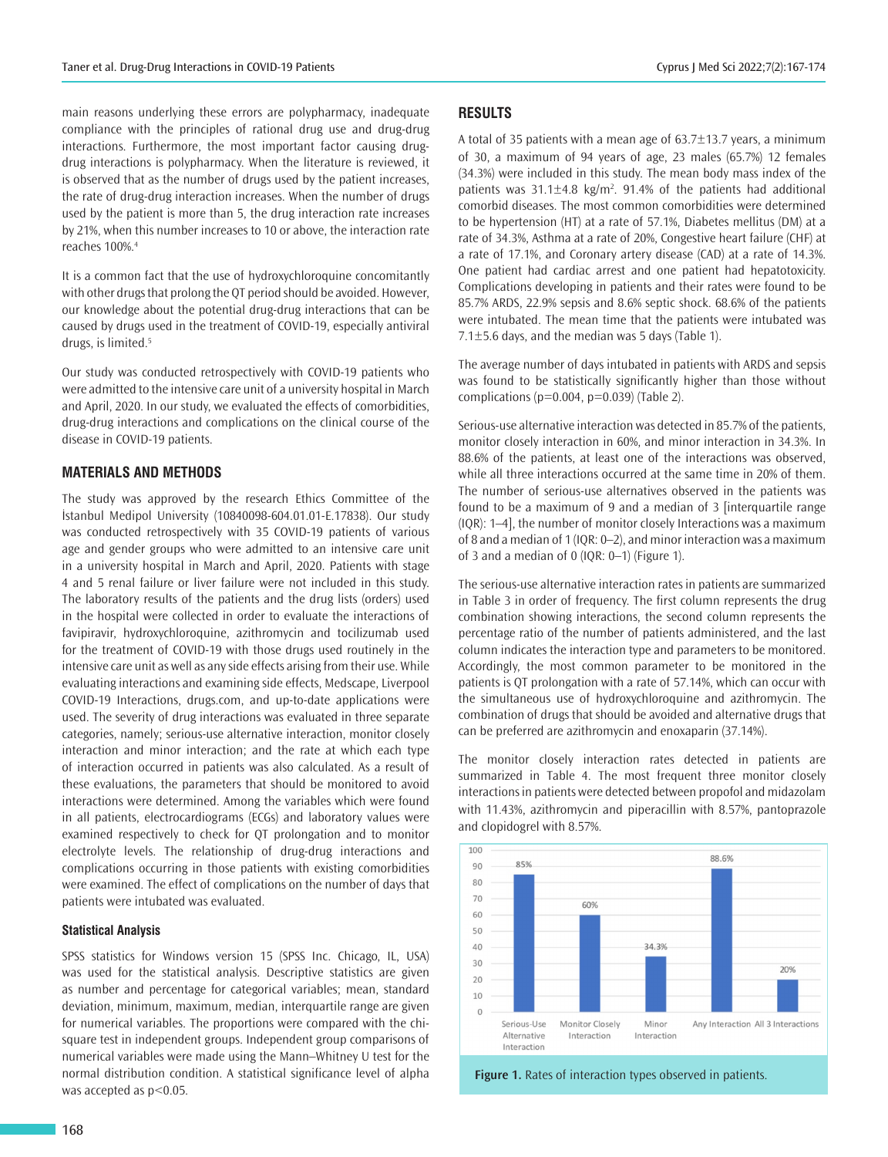main reasons underlying these errors are polypharmacy, inadequate compliance with the principles of rational drug use and drug-drug interactions. Furthermore, the most important factor causing drugdrug interactions is polypharmacy. When the literature is reviewed, it is observed that as the number of drugs used by the patient increases, the rate of drug-drug interaction increases. When the number of drugs used by the patient is more than 5, the drug interaction rate increases by 21%, when this number increases to 10 or above, the interaction rate reaches 100%.<sup>4</sup>

It is a common fact that the use of hydroxychloroquine concomitantly with other drugs that prolong the QT period should be avoided. However, our knowledge about the potential drug-drug interactions that can be caused by drugs used in the treatment of COVID-19, especially antiviral drugs, is limited.<sup>5</sup>

Our study was conducted retrospectively with COVID-19 patients who were admitted to the intensive care unit of a university hospital in March and April, 2020. In our study, we evaluated the effects of comorbidities, drug-drug interactions and complications on the clinical course of the disease in COVID-19 patients.

## **MATERIALS AND METHODS**

The study was approved by the research Ethics Committee of the İstanbul Medipol University (10840098-604.01.01-E.17838). Our study was conducted retrospectively with 35 COVID-19 patients of various age and gender groups who were admitted to an intensive care unit in a university hospital in March and April, 2020. Patients with stage 4 and 5 renal failure or liver failure were not included in this study. The laboratory results of the patients and the drug lists (orders) used in the hospital were collected in order to evaluate the interactions of favipiravir, hydroxychloroquine, azithromycin and tocilizumab used for the treatment of COVID-19 with those drugs used routinely in the intensive care unit as well as any side effects arising from their use. While evaluating interactions and examining side effects, Medscape, Liverpool COVID-19 Interactions, drugs.com, and up-to-date applications were used. The severity of drug interactions was evaluated in three separate categories, namely; serious-use alternative interaction, monitor closely interaction and minor interaction; and the rate at which each type of interaction occurred in patients was also calculated. As a result of these evaluations, the parameters that should be monitored to avoid interactions were determined. Among the variables which were found in all patients, electrocardiograms (ECGs) and laboratory values were examined respectively to check for QT prolongation and to monitor electrolyte levels. The relationship of drug-drug interactions and complications occurring in those patients with existing comorbidities were examined. The effect of complications on the number of days that patients were intubated was evaluated.

### **Statistical Analysis**

SPSS statistics for Windows version 15 (SPSS Inc. Chicago, IL, USA) was used for the statistical analysis. Descriptive statistics are given as number and percentage for categorical variables; mean, standard deviation, minimum, maximum, median, interquartile range are given for numerical variables. The proportions were compared with the chisquare test in independent groups. Independent group comparisons of numerical variables were made using the Mann–Whitney U test for the normal distribution condition. A statistical significance level of alpha was accepted as  $p<0.05$ .

## **RESULTS**

A total of 35 patients with a mean age of 63.7±13.7 years, a minimum of 30, a maximum of 94 years of age, 23 males (65.7%) 12 females (34.3%) were included in this study. The mean body mass index of the patients was  $31.1 \pm 4.8$  kg/m<sup>2</sup>. 91.4% of the patients had additional comorbid diseases. The most common comorbidities were determined to be hypertension (HT) at a rate of 57.1%, Diabetes mellitus (DM) at a rate of 34.3%, Asthma at a rate of 20%, Congestive heart failure (CHF) at a rate of 17.1%, and Coronary artery disease (CAD) at a rate of 14.3%. One patient had cardiac arrest and one patient had hepatotoxicity. Complications developing in patients and their rates were found to be 85.7% ARDS, 22.9% sepsis and 8.6% septic shock. 68.6% of the patients were intubated. The mean time that the patients were intubated was 7.1±5.6 days, and the median was 5 days (Table 1).

The average number of days intubated in patients with ARDS and sepsis was found to be statistically significantly higher than those without complications ( $p=0.004$ ,  $p=0.039$ ) (Table 2).

Serious-use alternative interaction was detected in 85.7% of the patients, monitor closely interaction in 60%, and minor interaction in 34.3%. In 88.6% of the patients, at least one of the interactions was observed, while all three interactions occurred at the same time in 20% of them. The number of serious-use alternatives observed in the patients was found to be a maximum of 9 and a median of 3 [interquartile range (IQR): 1–4], the number of monitor closely Interactions was a maximum of 8 and a median of 1 (IQR: 0–2), and minor interaction was a maximum of 3 and a median of 0 (IQR: 0–1) (Figure 1).

The serious-use alternative interaction rates in patients are summarized in Table 3 in order of frequency. The first column represents the drug combination showing interactions, the second column represents the percentage ratio of the number of patients administered, and the last column indicates the interaction type and parameters to be monitored. Accordingly, the most common parameter to be monitored in the patients is QT prolongation with a rate of 57.14%, which can occur with the simultaneous use of hydroxychloroquine and azithromycin. The combination of drugs that should be avoided and alternative drugs that can be preferred are azithromycin and enoxaparin (37.14%).

The monitor closely interaction rates detected in patients are summarized in Table 4. The most frequent three monitor closely interactions in patients were detected between propofol and midazolam with 11.43%, azithromycin and piperacillin with 8.57%, pantoprazole and clopidogrel with 8.57%.



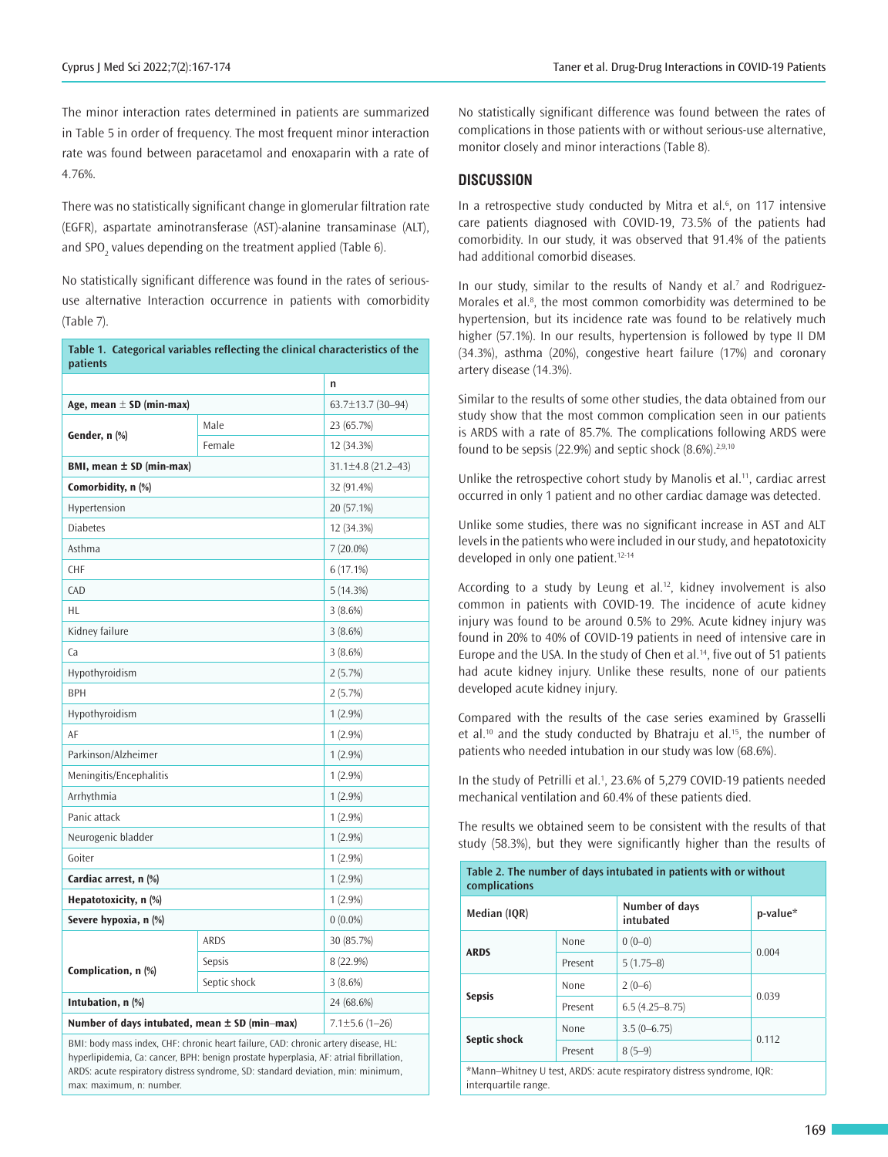The minor interaction rates determined in patients are summarized in Table 5 in order of frequency. The most frequent minor interaction rate was found between paracetamol and enoxaparin with a rate of 4.76%.

There was no statistically significant change in glomerular filtration rate (EGFR), aspartate aminotransferase (AST)-alanine transaminase (ALT), and SPO $_2$  values depending on the treatment applied (Table 6).

No statistically significant difference was found in the rates of serioususe alternative Interaction occurrence in patients with comorbidity (Table 7).

| Table 1. Categorical variables reflecting the clinical characteristics of the<br>patients |                      |                    |  |  |  |
|-------------------------------------------------------------------------------------------|----------------------|--------------------|--|--|--|
|                                                                                           | n                    |                    |  |  |  |
| Age, mean $\pm$ SD (min-max)                                                              | 63.7±13.7 (30-94)    |                    |  |  |  |
|                                                                                           | Male                 | 23 (65.7%)         |  |  |  |
| Gender, n (%)                                                                             | Female               | 12 (34.3%)         |  |  |  |
| BMI, mean $\pm$ SD (min-max)                                                              |                      | 31.1±4.8 (21.2-43) |  |  |  |
| Comorbidity, n (%)                                                                        |                      | 32 (91.4%)         |  |  |  |
| Hypertension                                                                              |                      | 20 (57.1%)         |  |  |  |
| <b>Diabetes</b>                                                                           |                      | 12 (34.3%)         |  |  |  |
| Asthma                                                                                    |                      | $7(20.0\%)$        |  |  |  |
| CHF                                                                                       |                      | 6(17.1%)           |  |  |  |
| CAD                                                                                       |                      | 5(14.3%)           |  |  |  |
| HL                                                                                        |                      | 3(8.6%)            |  |  |  |
| Kidney failure                                                                            |                      | 3(8.6%)            |  |  |  |
| Ca                                                                                        |                      | 3(8.6%)            |  |  |  |
| Hypothyroidism                                                                            |                      | 2(5.7%)            |  |  |  |
| <b>BPH</b>                                                                                |                      | 2(5.7%)            |  |  |  |
| Hypothyroidism                                                                            |                      | $1(2.9\%)$         |  |  |  |
| AF                                                                                        |                      | $1(2.9\%)$         |  |  |  |
| Parkinson/Alzheimer                                                                       |                      | $1(2.9\%)$         |  |  |  |
| Meningitis/Encephalitis                                                                   |                      | $1(2.9\%)$         |  |  |  |
| Arrhythmia                                                                                |                      | $1(2.9\%)$         |  |  |  |
| Panic attack                                                                              |                      | $1(2.9\%)$         |  |  |  |
| Neurogenic bladder                                                                        |                      | $1(2.9\%)$         |  |  |  |
| Goiter                                                                                    |                      | $1(2.9\%)$         |  |  |  |
| Cardiac arrest, n (%)                                                                     |                      | $1(2.9\%)$         |  |  |  |
| Hepatotoxicity, n (%)                                                                     |                      | $1(2.9\%)$         |  |  |  |
| Severe hypoxia, n (%)                                                                     |                      | $0(0.0\%)$         |  |  |  |
|                                                                                           | <b>ARDS</b>          | 30 (85.7%)         |  |  |  |
|                                                                                           | Sepsis               | 8 (22.9%)          |  |  |  |
| Complication, n (%)                                                                       | Septic shock         | 3(8.6%)            |  |  |  |
| Intubation, n (%)                                                                         | 24 (68.6%)           |                    |  |  |  |
| Number of days intubated, mean $\pm$ SD (min-max)                                         | $7.1 \pm 5.6$ (1-26) |                    |  |  |  |

BMI: body mass index, CHF: chronic heart failure, CAD: chronic artery disease, HL: hyperlipidemia, Ca: cancer, BPH: benign prostate hyperplasia, AF: atrial fibrillation, ARDS: acute respiratory distress syndrome, SD: standard deviation, min: minimum, max: maximum, n: number.

No statistically significant difference was found between the rates of complications in those patients with or without serious-use alternative, monitor closely and minor interactions (Table 8).

## **DISCUSSION**

In a retrospective study conducted by Mitra et al. $6$ , on 117 intensive care patients diagnosed with COVID-19, 73.5% of the patients had comorbidity. In our study, it was observed that 91.4% of the patients had additional comorbid diseases.

In our study, similar to the results of Nandy et al.<sup>7</sup> and Rodriguez-Morales et al.<sup>8</sup>, the most common comorbidity was determined to be hypertension, but its incidence rate was found to be relatively much higher (57.1%). In our results, hypertension is followed by type II DM (34.3%), asthma (20%), congestive heart failure (17%) and coronary artery disease (14.3%).

Similar to the results of some other studies, the data obtained from our study show that the most common complication seen in our patients is ARDS with a rate of 85.7%. The complications following ARDS were found to be sepsis (22.9%) and septic shock  $(8.6\%)^{2,9,10}$ 

Unlike the retrospective cohort study by Manolis et al.<sup>11</sup>, cardiac arrest occurred in only 1 patient and no other cardiac damage was detected.

Unlike some studies, there was no significant increase in AST and ALT levels in the patients who were included in our study, and hepatotoxicity developed in only one patient.<sup>12-14</sup>

According to a study by Leung et al.<sup>12</sup>, kidney involvement is also common in patients with COVID-19. The incidence of acute kidney injury was found to be around 0.5% to 29%. Acute kidney injury was found in 20% to 40% of COVID-19 patients in need of intensive care in Europe and the USA. In the study of Chen et al.<sup>14</sup>, five out of 51 patients had acute kidney injury. Unlike these results, none of our patients developed acute kidney injury.

Compared with the results of the case series examined by Grasselli et al.<sup>10</sup> and the study conducted by Bhatraju et al.<sup>15</sup>, the number of patients who needed intubation in our study was low (68.6%).

In the study of Petrilli et al.<sup>1</sup>, 23.6% of 5,279 COVID-19 patients needed mechanical ventilation and 60.4% of these patients died.

The results we obtained seem to be consistent with the results of that study (58.3%), but they were significantly higher than the results of

| Table 2. The number of days intubated in patients with or without<br>complications |         |                    |       |  |  |
|------------------------------------------------------------------------------------|---------|--------------------|-------|--|--|
| Number of days<br>p-value*<br>Median (IQR)<br>intubated                            |         |                    |       |  |  |
| <b>ARDS</b>                                                                        | None    | $0(0-0)$           | 0.004 |  |  |
|                                                                                    | Present | $5(1.75-8)$        |       |  |  |
| <b>Sepsis</b>                                                                      | None    | $2(0-6)$           | 0.039 |  |  |
|                                                                                    | Present | $6.5(4.25 - 8.75)$ |       |  |  |
| Septic shock                                                                       | None    | $3.5(0-6.75)$      | 0.112 |  |  |
|                                                                                    | Present | $8(5-9)$           |       |  |  |
| *Mann-Whitney U test, ARDS: acute respiratory distress syndrome, IQR:              |         |                    |       |  |  |

interquartile range.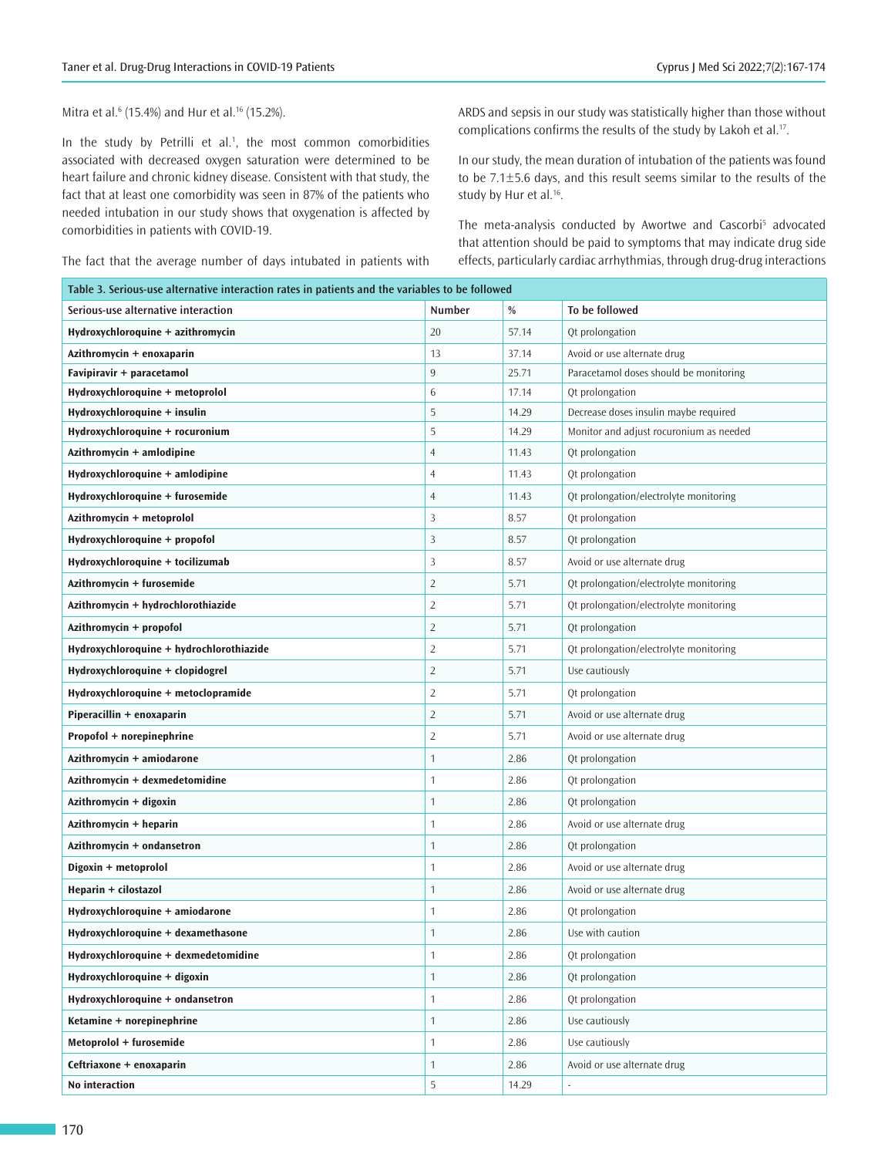Mitra et al.<sup>6</sup> (15.4%) and Hur et al.<sup>16</sup> (15.2%).

In the study by Petrilli et al.<sup>1</sup>, the most common comorbidities associated with decreased oxygen saturation were determined to be heart failure and chronic kidney disease. Consistent with that study, the fact that at least one comorbidity was seen in 87% of the patients who needed intubation in our study shows that oxygenation is affected by comorbidities in patients with COVID-19.

The fact that the average number of days intubated in patients with

ARDS and sepsis in our study was statistically higher than those without complications confirms the results of the study by Lakoh et al.<sup>17</sup>.

In our study, the mean duration of intubation of the patients was found to be 7.1±5.6 days, and this result seems similar to the results of the study by Hur et al.<sup>16</sup>.

The meta-analysis conducted by Awortwe and Cascorbi<sup>5</sup> advocated that attention should be paid to symptoms that may indicate drug side effects, particularly cardiac arrhythmias, through drug-drug interactions

| Table 3. Serious-use alternative interaction rates in patients and the variables to be followed |                |       |                                         |  |  |
|-------------------------------------------------------------------------------------------------|----------------|-------|-----------------------------------------|--|--|
| Serious-use alternative interaction                                                             | <b>Number</b>  | %     | To be followed                          |  |  |
| Hydroxychloroquine + azithromycin                                                               | 20             | 57.14 | Qt prolongation                         |  |  |
| Azithromycin + enoxaparin                                                                       | 13             | 37.14 | Avoid or use alternate drug             |  |  |
| Favipiravir + paracetamol                                                                       | 9              | 25.71 | Paracetamol doses should be monitoring  |  |  |
| Hydroxychloroquine + metoprolol                                                                 | 6              | 17.14 | Qt prolongation                         |  |  |
| Hydroxychloroquine + insulin                                                                    | 5              | 14.29 | Decrease doses insulin maybe required   |  |  |
| Hydroxychloroquine + rocuronium                                                                 | 5              | 14.29 | Monitor and adjust rocuronium as needed |  |  |
| Azithromycin + amlodipine                                                                       | $\overline{4}$ | 11.43 | Qt prolongation                         |  |  |
| Hydroxychloroquine + amlodipine                                                                 | $\overline{4}$ | 11.43 | Qt prolongation                         |  |  |
| Hydroxychloroquine + furosemide                                                                 | $\overline{4}$ | 11.43 | Qt prolongation/electrolyte monitoring  |  |  |
| Azithromycin + metoprolol                                                                       | 3              | 8.57  | Qt prolongation                         |  |  |
| Hydroxychloroquine + propofol                                                                   | 3              | 8.57  | Qt prolongation                         |  |  |
| Hydroxychloroquine + tocilizumab                                                                | 3              | 8.57  | Avoid or use alternate drug             |  |  |
| Azithromycin + furosemide                                                                       | $\overline{2}$ | 5.71  | Qt prolongation/electrolyte monitoring  |  |  |
| Azithromycin + hydrochlorothiazide                                                              | $\overline{2}$ | 5.71  | Qt prolongation/electrolyte monitoring  |  |  |
| Azithromycin + propofol                                                                         | $\overline{2}$ | 5.71  | Qt prolongation                         |  |  |
| Hydroxychloroquine + hydrochlorothiazide                                                        | $\overline{2}$ | 5.71  | Qt prolongation/electrolyte monitoring  |  |  |
| Hydroxychloroquine + clopidogrel                                                                | $\overline{2}$ | 5.71  | Use cautiously                          |  |  |
| Hydroxychloroquine + metoclopramide                                                             | $\overline{2}$ | 5.71  | Qt prolongation                         |  |  |
| Piperacillin + enoxaparin                                                                       | $\overline{2}$ | 5.71  | Avoid or use alternate drug             |  |  |
| Propofol + norepinephrine                                                                       | $\overline{2}$ | 5.71  | Avoid or use alternate drug             |  |  |
| Azithromycin + amiodarone                                                                       | 1              | 2.86  | Qt prolongation                         |  |  |
| Azithromycin + dexmedetomidine                                                                  | 1              | 2.86  | Qt prolongation                         |  |  |
| Azithromycin + digoxin                                                                          | $\mathbf{1}$   | 2.86  | Qt prolongation                         |  |  |
| Azithromycin + heparin                                                                          | 1              | 2.86  | Avoid or use alternate drug             |  |  |
| Azithromycin + ondansetron                                                                      | 1              | 2.86  | Qt prolongation                         |  |  |
| Digoxin + metoprolol                                                                            | 1              | 2.86  | Avoid or use alternate drug             |  |  |
| Heparin + cilostazol                                                                            | 1              | 2.86  | Avoid or use alternate drug             |  |  |
| Hydroxychloroquine + amiodarone                                                                 | 1              | 2.86  | Qt prolongation                         |  |  |
| Hydroxychloroquine + dexamethasone                                                              | $\mathbf{1}$   | 2.86  | Use with caution                        |  |  |
| Hydroxychloroquine + dexmedetomidine                                                            | $\mathbf{1}$   | 2.86  | Qt prolongation                         |  |  |
| Hydroxychloroquine + digoxin                                                                    | $\mathbf{1}$   | 2.86  | Qt prolongation                         |  |  |
| Hydroxychloroquine + ondansetron                                                                | $\mathbf{1}$   | 2.86  | Qt prolongation                         |  |  |
| Ketamine + norepinephrine                                                                       | $\mathbf{1}$   | 2.86  | Use cautiously                          |  |  |
| Metoprolol + furosemide                                                                         | $\mathbf{1}$   | 2.86  | Use cautiously                          |  |  |
| Ceftriaxone + enoxaparin                                                                        | $\mathbf{1}$   | 2.86  | Avoid or use alternate drug             |  |  |
| No interaction                                                                                  | 5              | 14.29 |                                         |  |  |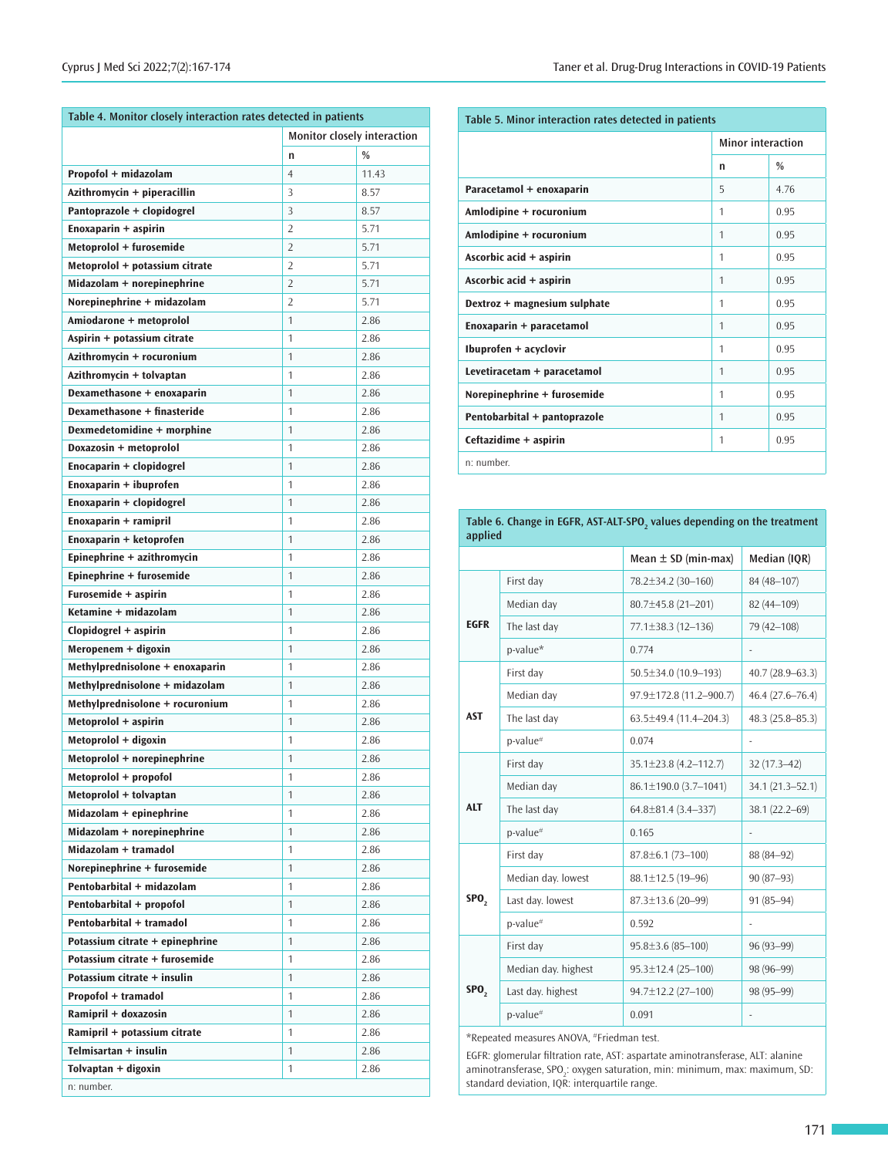| Table 4. Monitor closely interaction rates detected in patients |                |                                    |  |  |  |
|-----------------------------------------------------------------|----------------|------------------------------------|--|--|--|
|                                                                 |                | <b>Monitor closely interaction</b> |  |  |  |
|                                                                 | n              | $\frac{0}{0}$                      |  |  |  |
| Propofol + midazolam                                            | $\overline{4}$ | 11.43                              |  |  |  |
| Azithromycin + piperacillin                                     | 3              | 8.57                               |  |  |  |
| Pantoprazole + clopidogrel                                      | 3              | 8.57                               |  |  |  |
| Enoxaparin + aspirin                                            | 2              | 5.71                               |  |  |  |
| Metoprolol + furosemide                                         | $\overline{2}$ | 5.71                               |  |  |  |
| Metoprolol + potassium citrate                                  | $\overline{2}$ | 5.71                               |  |  |  |
| Midazolam + norepinephrine                                      | $\overline{2}$ | 5.71                               |  |  |  |
| Norepinephrine + midazolam                                      | $\overline{2}$ | 5.71                               |  |  |  |
| Amiodarone + metoprolol                                         | 1              | 2.86                               |  |  |  |
| Aspirin + potassium citrate                                     | 1              | 2.86                               |  |  |  |
| Azithromycin + rocuronium                                       | 1              | 2.86                               |  |  |  |
| Azithromycin + tolvaptan                                        | 1              | 2.86                               |  |  |  |
| Dexamethasone + enoxaparin                                      | 1              | 2.86                               |  |  |  |
| Dexamethasone + finasteride                                     | $\mathbf{1}$   | 2.86                               |  |  |  |
| Dexmedetomidine + morphine                                      | 1              | 2.86                               |  |  |  |
| Doxazosin + metoprolol                                          | 1              | 2.86                               |  |  |  |
| Enocaparin + clopidogrel                                        | $\mathbf{1}$   | 2.86                               |  |  |  |
| Enoxaparin + ibuprofen                                          | 1              | 2.86                               |  |  |  |
| Enoxaparin + clopidogrel                                        | $\mathbf{1}$   | 2.86                               |  |  |  |
| Enoxaparin + ramipril                                           | 1              | 2.86                               |  |  |  |
| Enoxaparin + ketoprofen                                         | 1              | 2.86                               |  |  |  |
| Epinephrine + azithromycin                                      | 1              | 2.86                               |  |  |  |
| Epinephrine + furosemide                                        | 1              | 2.86                               |  |  |  |
| Furosemide + aspirin                                            | 1              | 2.86                               |  |  |  |
| Ketamine + midazolam                                            | 1              |                                    |  |  |  |
|                                                                 |                | 2.86                               |  |  |  |
| Clopidogrel + aspirin                                           | 1              | 2.86                               |  |  |  |
| Meropenem + digoxin                                             | 1              | 2.86                               |  |  |  |
| Methylprednisolone + enoxaparin                                 | $\mathbf{1}$   | 2.86                               |  |  |  |
| Methylprednisolone + midazolam                                  | $\mathbf{1}$   | 2.86                               |  |  |  |
| Methylprednisolone + rocuronium                                 | 1              | 2.86                               |  |  |  |
| Metoprolol + aspirin                                            | 1              | 2.86                               |  |  |  |
| Metoprolol + digoxin                                            | 1              | 2.86                               |  |  |  |
| Metoprolol + norepinephrine                                     | 1              | 2.86                               |  |  |  |
| Metoprolol + propofol                                           | 1              | 2.86                               |  |  |  |
| Metoprolol + tolvaptan                                          | 1              | 2.86                               |  |  |  |
| Midazolam + epinephrine                                         | 1              | 2.86                               |  |  |  |
| Midazolam + norepinephrine                                      | $\mathbf{1}$   | 2.86                               |  |  |  |
| Midazolam + tramadol                                            | 1              | 2.86                               |  |  |  |
| Norepinephrine + furosemide                                     | $\mathbf{1}$   | 2.86                               |  |  |  |
| Pentobarbital + midazolam                                       | $\mathbf{1}$   | 2.86                               |  |  |  |
| Pentobarbital + propofol                                        | $\mathbf{1}$   | 2.86                               |  |  |  |
| Pentobarbital + tramadol                                        | $\mathbf{1}$   | 2.86                               |  |  |  |
| Potassium citrate + epinephrine                                 | $\mathbf{1}$   | 2.86                               |  |  |  |
| Potassium citrate + furosemide                                  | 1              | 2.86                               |  |  |  |
| Potassium citrate + insulin                                     | $\mathbf{1}$   | 2.86                               |  |  |  |
| Propofol + tramadol                                             | $\mathbf{1}$   | 2.86                               |  |  |  |
|                                                                 | $\mathbf{1}$   | 2.86                               |  |  |  |
| Ramipril + doxazosin                                            |                |                                    |  |  |  |
| Ramipril + potassium citrate                                    | $\mathbf{1}$   | 2.86                               |  |  |  |
| Telmisartan + insulin                                           | $\mathbf{1}$   | 2.86                               |  |  |  |

| Table 5. Minor interaction rates detected in patients |                          |               |  |  |
|-------------------------------------------------------|--------------------------|---------------|--|--|
|                                                       | <b>Minor interaction</b> |               |  |  |
|                                                       | n                        | $\frac{0}{0}$ |  |  |
| Paracetamol + enoxaparin                              | 5                        | 4.76          |  |  |
| Amlodipine + rocuronium                               | 1                        | 0.95          |  |  |
| Amlodipine + rocuronium                               | $\mathbf{1}$             | 0.95          |  |  |
| Ascorbic acid + aspirin                               | 1                        | 0.95          |  |  |
| Ascorbic acid + aspirin                               | 1                        | 0.95          |  |  |
| Dextroz + magnesium sulphate                          | 1                        | 0.95          |  |  |
| Enoxaparin + paracetamol                              | 1                        | 0.95          |  |  |
| Ibuprofen + acyclovir                                 | 1                        | 0.95          |  |  |
| Levetiracetam + paracetamol                           | $\mathbf{1}$             | 0.95          |  |  |
| Norepinephrine + furosemide                           | 1                        | 0.95          |  |  |
| Pentobarbital + pantoprazole                          | 1                        | 0.95          |  |  |
| Ceftazidime + aspirin                                 | 1                        | 0.95          |  |  |
| n: number.                                            |                          |               |  |  |

**Table 6. Change in EGFR, AST-ALT-SPO<sup>2</sup> values depending on the treatment applied**

| αμμιιτα          |                     |                              |                     |
|------------------|---------------------|------------------------------|---------------------|
|                  |                     | Mean $\pm$ SD (min-max)      | Median (IQR)        |
|                  | First day           | 78.2±34.2 (30-160)           | 84 (48-107)         |
|                  | Median day          | 80.7±45.8 (21-201)           | 82 (44-109)         |
| <b>EGFR</b>      | The last day        | 77.1±38.3 (12-136)           | 79 (42-108)         |
|                  | p-value*            | 0.774                        | $\frac{1}{2}$       |
|                  | First day           | $50.5 \pm 34.0$ (10.9-193)   | $40.7(28.9 - 63.3)$ |
|                  | Median day          | 97.9±172.8 (11.2-900.7)      | $46.4(27.6 - 76.4)$ |
| <b>AST</b>       | The last day        | $63.5 \pm 49.4$ (11.4-204.3) | 48.3 (25.8-85.3)    |
|                  | p-value#            | 0.074                        |                     |
|                  | First day           | 35.1±23.8 (4.2-112.7)        | 32 (17.3-42)        |
|                  | Median day          | 86.1±190.0 (3.7-1041)        | 34.1 (21.3-52.1)    |
| <b>ALT</b>       | The last day        | 64.8±81.4 (3.4-337)          | 38.1 (22.2-69)      |
|                  | p-value#            | 0.165                        |                     |
|                  | First day           | $87.8 \pm 6.1(73 - 100)$     | 88 (84-92)          |
|                  | Median day. lowest  | 88.1±12.5 (19-96)            | 90 (87-93)          |
| SPO <sub>2</sub> | Last day. lowest    | 87.3±13.6 (20-99)            | 91 (85-94)          |
|                  | p-value#            | 0.592                        |                     |
|                  | First day           | $95.8 \pm 3.6$ (85-100)      | 96 (93-99)          |
|                  | Median day. highest | $95.3 \pm 12.4$ (25-100)     | 98 (96-99)          |
| SPO <sub>2</sub> | Last day. highest   | 94.7±12.2 (27-100)           | 98 (95-99)          |
|                  | p-value#            | 0.091                        | ÷,                  |
|                  |                     |                              |                     |

\*Repeated measures ANOVA, #Friedman test.

EGFR: glomerular filtration rate, AST: aspartate aminotransferase, ALT: alanine aminotransferase, SPO<sub>2</sub>: oxygen saturation, min: minimum, max: maximum, SD: standard deviation, IQR: interquartile range.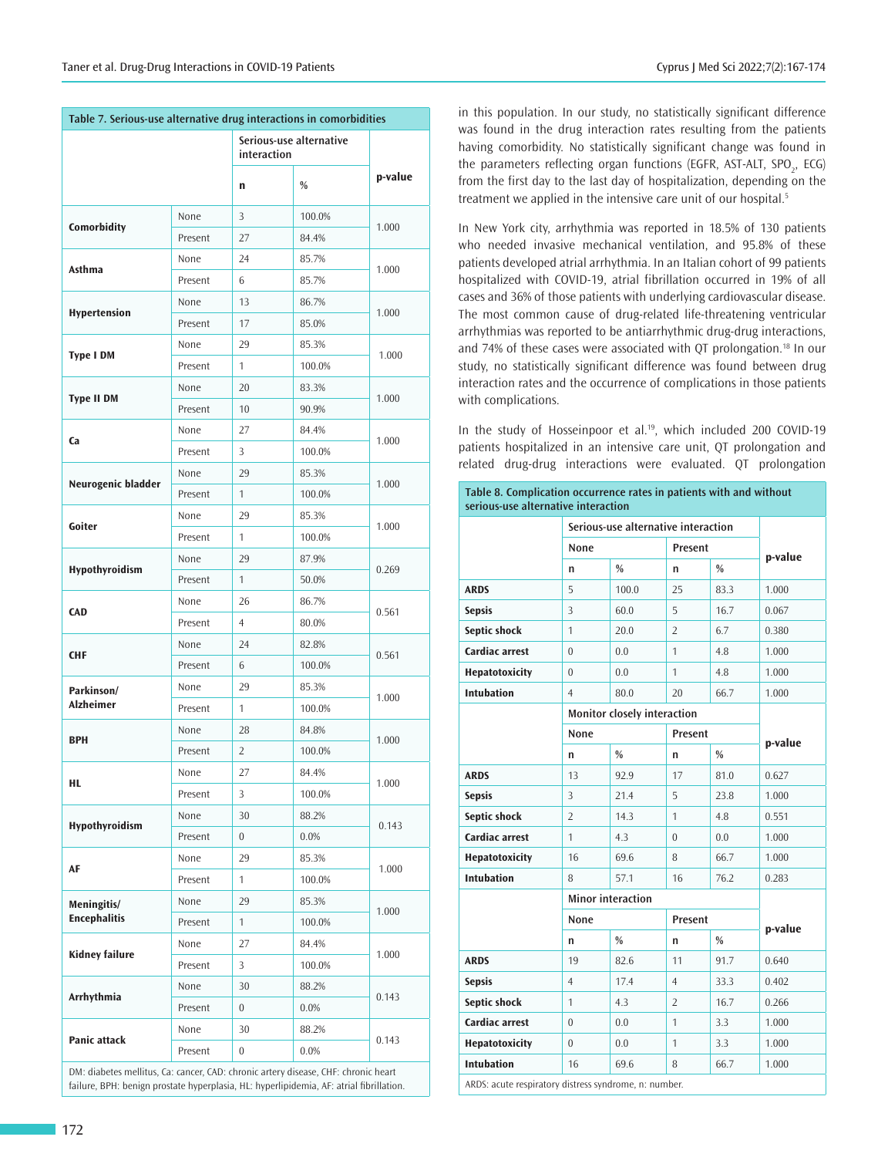| Table 7. Serious-use alternative drug interactions in comorbidities |         |                                        |        |         |
|---------------------------------------------------------------------|---------|----------------------------------------|--------|---------|
|                                                                     |         | Serious-use alternative<br>interaction |        |         |
|                                                                     |         | n                                      | %      | p-value |
| Comorbidity                                                         | None    | 3                                      | 100.0% | 1.000   |
|                                                                     | Present | 27                                     | 84.4%  |         |
| Asthma                                                              | None    | 24                                     | 85.7%  | 1.000   |
|                                                                     | Present | 6                                      | 85.7%  |         |
| Hypertension                                                        | None    | 13                                     | 86.7%  | 1.000   |
|                                                                     | Present | 17                                     | 85.0%  |         |
| <b>Type I DM</b>                                                    | None    | 29                                     | 85.3%  | 1.000   |
|                                                                     | Present | 1                                      | 100.0% |         |
| <b>Type II DM</b>                                                   | None    | 20                                     | 83.3%  | 1.000   |
|                                                                     | Present | 10                                     | 90.9%  |         |
| Ca                                                                  | None    | 27                                     | 84.4%  | 1.000   |
|                                                                     | Present | 3                                      | 100.0% |         |
| Neurogenic bladder                                                  | None    | 29                                     | 85.3%  | 1.000   |
|                                                                     | Present | $\mathbf{1}$                           | 100.0% |         |
| Goiter                                                              | None    | 29                                     | 85.3%  | 1.000   |
|                                                                     | Present | $\mathbf{1}$                           | 100.0% |         |
|                                                                     | None    | 29                                     | 87.9%  |         |
| Hypothyroidism                                                      | Present | 1                                      | 50.0%  | 0.269   |
| <b>CAD</b>                                                          | None    | 26                                     | 86.7%  | 0.561   |
|                                                                     | Present | $\overline{4}$                         | 80.0%  |         |
| <b>CHF</b>                                                          | None    | 24                                     | 82.8%  | 0.561   |
|                                                                     | Present | 6                                      | 100.0% |         |
| Parkinson/                                                          | None    | 29                                     | 85.3%  |         |
| <b>Alzheimer</b>                                                    | Present | $\mathbf{1}$                           | 100.0% | 1.000   |
| <b>BPH</b>                                                          | None    | 28                                     | 84.8%  |         |
|                                                                     | Present | $\overline{2}$                         | 100.0% | 1.000   |
| HL.                                                                 | None    | 27                                     | 84.4%  | 1.000   |
|                                                                     | Present | 3                                      | 100.0% |         |
|                                                                     | None    | 30                                     | 88.2%  |         |
| Hypothyroidism                                                      | Present | $\overline{0}$                         | 0.0%   | 0.143   |
| AF                                                                  | None    | 29                                     | 85.3%  |         |
|                                                                     | Present | $\mathbf{1}$                           | 100.0% | 1.000   |
| Meningitis/                                                         | None    | 29                                     | 85.3%  |         |
| <b>Encephalitis</b>                                                 | Present | $\mathbf{1}$                           | 100.0% | 1.000   |
|                                                                     | None    | 27                                     | 84.4%  |         |
| <b>Kidney failure</b>                                               | Present | 3                                      | 100.0% | 1.000   |
|                                                                     | None    | 30                                     | 88.2%  |         |
| Arrhythmia                                                          | Present | $\overline{0}$                         | 0.0%   | 0.143   |
|                                                                     | None    | 30                                     | 88.2%  |         |
| <b>Panic attack</b>                                                 | Present | $\overline{0}$                         | 0.0%   | 0.143   |
|                                                                     |         |                                        |        |         |

DM: diabetes mellitus, Ca: cancer, CAD: chronic artery disease, CHF: chronic heart failure, BPH: benign prostate hyperplasia, HL: hyperlipidemia, AF: atrial fibrillation. in this population. In our study, no statistically significant difference was found in the drug interaction rates resulting from the patients having comorbidity. No statistically significant change was found in the parameters reflecting organ functions (EGFR, AST-ALT, SPO<sub>2</sub>, ECG) from the first day to the last day of hospitalization, depending on the treatment we applied in the intensive care unit of our hospital.<sup>5</sup>

In New York city, arrhythmia was reported in 18.5% of 130 patients who needed invasive mechanical ventilation, and 95.8% of these patients developed atrial arrhythmia. In an Italian cohort of 99 patients hospitalized with COVID-19, atrial fibrillation occurred in 19% of all cases and 36% of those patients with underlying cardiovascular disease. The most common cause of drug-related life-threatening ventricular arrhythmias was reported to be antiarrhythmic drug-drug interactions, and 74% of these cases were associated with QT prolongation.<sup>18</sup> In our study, no statistically significant difference was found between drug interaction rates and the occurrence of complications in those patients with complications.

In the study of Hosseinpoor et al.<sup>19</sup>, which included 200 COVID-19 patients hospitalized in an intensive care unit, QT prolongation and related drug-drug interactions were evaluated. QT prolongation

| Table 8. Complication occurrence rates in patients with and without<br>serious-use alternative interaction |                |                                     |                |               |         |  |
|------------------------------------------------------------------------------------------------------------|----------------|-------------------------------------|----------------|---------------|---------|--|
|                                                                                                            |                | Serious-use alternative interaction |                |               |         |  |
|                                                                                                            | None           |                                     | Present        |               | p-value |  |
|                                                                                                            | n              | $\frac{0}{0}$                       | n              | $\frac{0}{0}$ |         |  |
| <b>ARDS</b>                                                                                                | 5              | 100.0                               | 25             | 83.3          | 1.000   |  |
| <b>Sepsis</b>                                                                                              | 3              | 60.0                                | 5              | 16.7          | 0.067   |  |
| Septic shock                                                                                               | $\mathbf{1}$   | 20.0                                | $\overline{2}$ | 6.7           | 0.380   |  |
| <b>Cardiac arrest</b>                                                                                      | $\overline{0}$ | 0.0                                 | 1              | 4.8           | 1.000   |  |
| Hepatotoxicity                                                                                             | $\theta$       | 0.0                                 | 1              | 4.8           | 1.000   |  |
| <b>Intubation</b>                                                                                          | $\overline{4}$ | 80.0                                | 20             | 66.7          | 1.000   |  |
|                                                                                                            |                | Monitor closely interaction         |                |               |         |  |
|                                                                                                            | None           |                                     |                | Present       | p-value |  |
|                                                                                                            | n              | $\frac{0}{0}$                       | n              | $\frac{0}{0}$ |         |  |
| <b>ARDS</b>                                                                                                | 13             | 92.9                                | 17             | 81.0          | 0.627   |  |
| <b>Sepsis</b>                                                                                              | 3              | 21.4                                | 5              | 23.8          | 1.000   |  |
| Septic shock                                                                                               | $\overline{2}$ | 14.3                                | 1              | 4.8           | 0.551   |  |
| <b>Cardiac arrest</b>                                                                                      | $\mathbf{1}$   | 4.3                                 | $\Omega$       | 0.0           | 1.000   |  |
| Hepatotoxicity                                                                                             | 16             | 69.6                                | 8              | 66.7          | 1.000   |  |
| <b>Intubation</b>                                                                                          | 8              | 57.1                                | 16             | 76.2          | 0.283   |  |
|                                                                                                            |                | <b>Minor interaction</b>            |                |               |         |  |
|                                                                                                            | None           |                                     | Present        |               | p-value |  |
|                                                                                                            | n              | $\%$                                | n              | $\frac{0}{0}$ |         |  |
| <b>ARDS</b>                                                                                                | 19             | 82.6                                | 11             | 91.7          | 0.640   |  |
| <b>Sepsis</b>                                                                                              | $\overline{4}$ | 17.4                                | $\overline{4}$ | 33.3          | 0.402   |  |
| Septic shock                                                                                               | 1              | 4.3                                 | $\overline{2}$ | 16.7          | 0.266   |  |
| <b>Cardiac arrest</b>                                                                                      | $\theta$       | 0.0                                 | $\mathbf{1}$   | 3.3           | 1.000   |  |
| Hepatotoxicity                                                                                             | $\theta$       | 0.0                                 | 1              | 3.3           | 1.000   |  |
| <b>Intubation</b>                                                                                          | 16             | 69.6                                | 8              | 66.7          | 1.000   |  |
| ADDC: acute recorrectery dictress syndrome, n; number                                                      |                |                                     |                |               |         |  |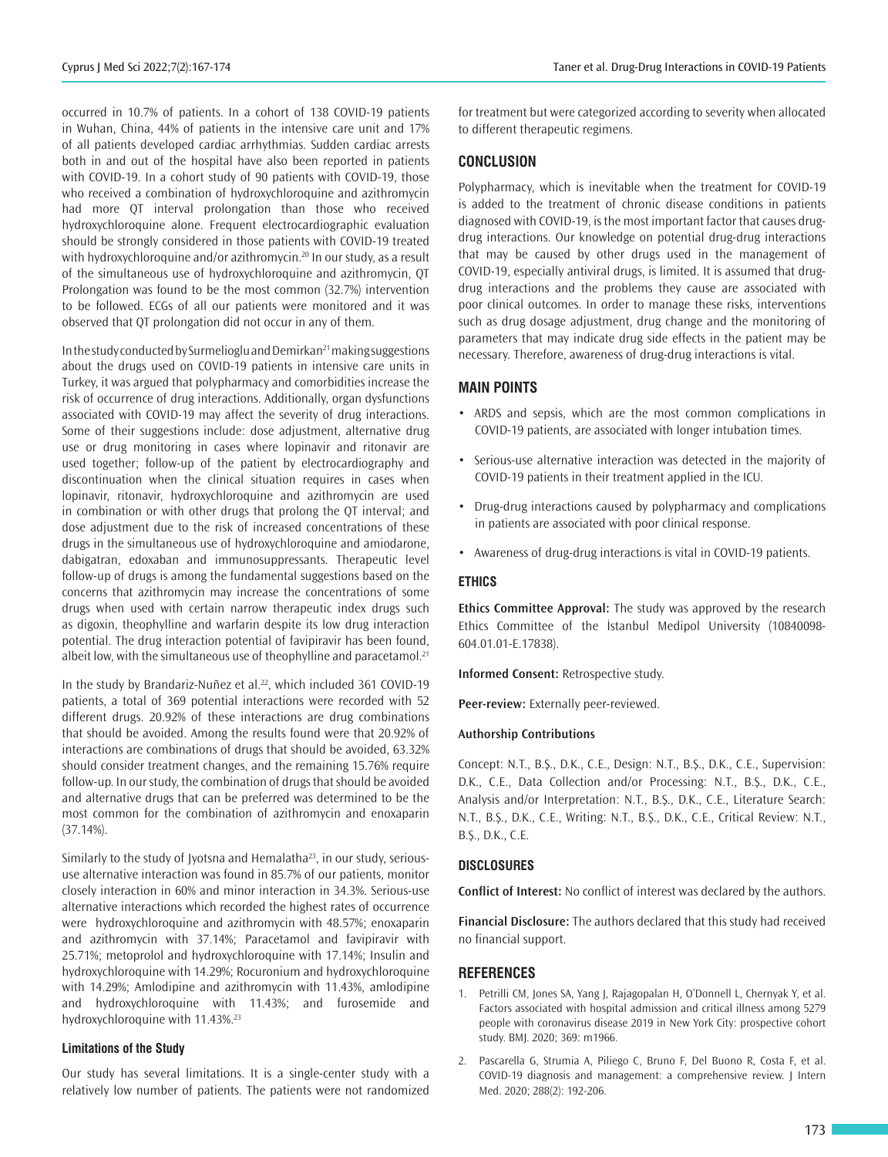occurred in 10.7% of patients. In a cohort of 138 COVID-19 patients in Wuhan, China, 44% of patients in the intensive care unit and 17% of all patients developed cardiac arrhythmias. Sudden cardiac arrests both in and out of the hospital have also been reported in patients with COVID-19. In a cohort study of 90 patients with COVID-19, those who received a combination of hydroxychloroquine and azithromycin had more QT interval prolongation than those who received hydroxychloroquine alone. Frequent electrocardiographic evaluation should be strongly considered in those patients with COVID-19 treated with hydroxychloroquine and/or azithromycin.<sup>20</sup> In our study, as a result of the simultaneous use of hydroxychloroquine and azithromycin, QT Prolongation was found to be the most common (32.7%) intervention to be followed. ECGs of all our patients were monitored and it was observed that QT prolongation did not occur in any of them.

In the study conducted by Surmelioglu and Demirkan<sup>21</sup> making suggestions about the drugs used on COVID-19 patients in intensive care units in Turkey, it was argued that polypharmacy and comorbidities increase the risk of occurrence of drug interactions. Additionally, organ dysfunctions associated with COVID-19 may affect the severity of drug interactions. Some of their suggestions include: dose adjustment, alternative drug use or drug monitoring in cases where lopinavir and ritonavir are used together; follow-up of the patient by electrocardiography and discontinuation when the clinical situation requires in cases when lopinavir, ritonavir, hydroxychloroquine and azithromycin are used in combination or with other drugs that prolong the QT interval; and dose adjustment due to the risk of increased concentrations of these drugs in the simultaneous use of hydroxychloroquine and amiodarone, dabigatran, edoxaban and immunosuppressants. Therapeutic level follow-up of drugs is among the fundamental suggestions based on the concerns that azithromycin may increase the concentrations of some drugs when used with certain narrow therapeutic index drugs such as digoxin, theophylline and warfarin despite its low drug interaction potential. The drug interaction potential of favipiravir has been found, albeit low, with the simultaneous use of theophylline and paracetamol.<sup>21</sup>

In the study by Brandariz-Nuñez et al.<sup>22</sup>, which included 361 COVID-19 patients, a total of 369 potential interactions were recorded with 52 different drugs. 20.92% of these interactions are drug combinations that should be avoided. Among the results found were that 20.92% of interactions are combinations of drugs that should be avoided, 63.32% should consider treatment changes, and the remaining 15.76% require follow-up. In our study, the combination of drugs that should be avoided and alternative drugs that can be preferred was determined to be the most common for the combination of azithromycin and enoxaparin (37.14%).

Similarly to the study of Jyotsna and Hemalatha<sup>23</sup>, in our study, serioususe alternative interaction was found in 85.7% of our patients, monitor closely interaction in 60% and minor interaction in 34.3%. Serious-use alternative interactions which recorded the highest rates of occurrence were hydroxychloroquine and azithromycin with 48.57%; enoxaparin and azithromycin with 37.14%; Paracetamol and favipiravir with 25.71%; metoprolol and hydroxychloroquine with 17.14%; Insulin and hydroxychloroquine with 14.29%; Rocuronium and hydroxychloroquine with 14.29%; Amlodipine and azithromycin with 11.43%, amlodipine and hydroxychloroquine with 11.43%; and furosemide and hydroxychloroquine with 11.43%.<sup>23</sup>

#### **Limitations of the Study**

Our study has several limitations. It is a single-center study with a relatively low number of patients. The patients were not randomized

for treatment but were categorized according to severity when allocated to different therapeutic regimens.

## **CONCLUSION**

Polypharmacy, which is inevitable when the treatment for COVID-19 is added to the treatment of chronic disease conditions in patients diagnosed with COVID-19, is the most important factor that causes drugdrug interactions. Our knowledge on potential drug-drug interactions that may be caused by other drugs used in the management of COVID-19, especially antiviral drugs, is limited. It is assumed that drugdrug interactions and the problems they cause are associated with poor clinical outcomes. In order to manage these risks, interventions such as drug dosage adjustment, drug change and the monitoring of parameters that may indicate drug side effects in the patient may be necessary. Therefore, awareness of drug-drug interactions is vital.

## **MAIN POINTS**

- ARDS and sepsis, which are the most common complications in COVID-19 patients, are associated with longer intubation times.
- Serious-use alternative interaction was detected in the majority of COVID-19 patients in their treatment applied in the ICU.
- Drug-drug interactions caused by polypharmacy and complications in patients are associated with poor clinical response.
- Awareness of drug-drug interactions is vital in COVID-19 patients.

### **ETHICS**

**Ethics Committee Approval:** The study was approved by the research Ethics Committee of the İstanbul Medipol University (10840098- 604.01.01-E.17838).

**Informed Consent:** Retrospective study.

**Peer-review:** Externally peer-reviewed.

#### **Authorship Contributions**

Concept: N.T., B.Ş., D.K., C.E., Design: N.T., B.Ş., D.K., C.E., Supervision: D.K., C.E., Data Collection and/or Processing: N.T., B.Ş., D.K., C.E., Analysis and/or Interpretation: N.T., B.Ş., D.K., C.E., Literature Search: N.T., B.Ş., D.K., C.E., Writing: N.T., B.Ş., D.K., C.E., Critical Review: N.T., B.Ş., D.K., C.E.

#### **DISCLOSURES**

**Conflict of Interest:** No conflict of interest was declared by the authors.

**Financial Disclosure:** The authors declared that this study had received no financial support.

#### **REFERENCES**

- 1. Petrilli CM, Jones SA, Yang J, Rajagopalan H, O'Donnell L, Chernyak Y, et al. Factors associated with hospital admission and critical illness among 5279 people with coronavirus disease 2019 in New York City: prospective cohort study. BMJ. 2020; 369: m1966.
- 2. Pascarella G, Strumia A, Piliego C, Bruno F, Del Buono R, Costa F, et al. COVID-19 diagnosis and management: a comprehensive review. J Intern Med. 2020; 288(2): 192-206.